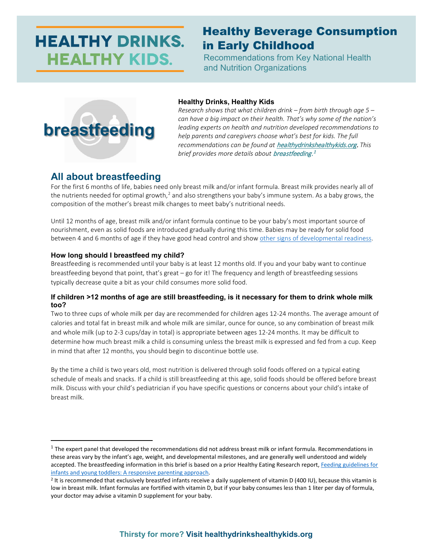# **HEALTHY DRINKS. HEALTHY KIDS.** l

# Healthy Beverage Consumption in Early Childhood

Recommendations from Key National Health and Nutrition Organizations



## **Healthy Drinks, Healthy Kids**

*Research shows that what children drink – from birth through age 5 – can have a big impact on their health. That's why some of the nation's leading experts on health and nutrition developed recommendations to help parents and caregivers choose what's best for kids. The full recommendations can be found at* [healthydrinkshealthykids.org.](https://healthydrinkshealthykids.org/) *This brief provides more details about* breastfeeding. [1](#page-0-0)

# **All about breastfeeding**

For the first 6 months of life, babies need only breast milk and/or infant formula. Breast milk provides nearly all of the nutrients needed for optimal growth,<sup>[2](#page-0-1)</sup> and also strengthens your baby's immune system. As a baby grows, the composition of the mother's breast milk changes to meet baby's nutritional needs.

Until 12 months of age, breast milk and/or infant formula continue to be your baby's most important source of nourishment, even as solid foods are introduced gradually during this time. Babies may be ready for solid food between 4 and 6 months of age if they have good head control and sho[w other signs of developmental readiness.](https://thousanddays.org/resource/is-your-baby-ready-to-start-eating-foods/)

## **How long should I breastfeed my child?**

Breastfeeding is recommended until your baby is at least 12 months old. If you and your baby want to continue breastfeeding beyond that point, that's great – go for it! The frequency and length of breastfeeding sessions typically decrease quite a bit as your child consumes more solid food.

## **If children >12 months of age are still breastfeeding, is it necessary for them to drink whole milk too?**

Two to three cups of whole milk per day are recommended for children ages 12-24 months. The average amount of calories and total fat in breast milk and whole milk are similar, ounce for ounce, so any combination of breast milk and whole milk (up to 2-3 cups/day in total) is appropriate between ages 12-24 months. It may be difficult to determine how much breast milk a child is consuming unless the breast milk is expressed and fed from a cup. Keep in mind that after 12 months, you should begin to discontinue bottle use.

By the time a child is two years old, most nutrition is delivered through solid foods offered on a typical eating schedule of meals and snacks. If a child is still breastfeeding at this age, solid foods should be offered before breast milk. Discuss with your child's pediatrician if you have specific questions or concerns about your child's intake of breast milk.

<span id="page-0-0"></span> $1$  The expert panel that developed the recommendations did not address breast milk or infant formula. Recommendations in these areas vary by the infant's age, weight, and developmental milestones, and are generally well understood and widely accepted. The breastfeeding information in this brief is based on a prior Healthy Eating Research report, [Feeding guidelines for](https://healthyeatingresearch.org/wp-content/uploads/2017/02/her_feeding_guidelines_report_021416-1.pdf)  [infants and young toddlers: A responsive parenting approach.](https://healthyeatingresearch.org/wp-content/uploads/2017/02/her_feeding_guidelines_report_021416-1.pdf)<br><sup>2</sup> It is recommended that exclusively breastfed infants receive a daily supplement of vitamin D (400 IU), because this vitamin is

<span id="page-0-1"></span>low in breast milk. Infant formulas are fortified with vitamin D, but if your baby consumes less than 1 liter per day of formula, your doctor may advise a vitamin D supplement for your baby.